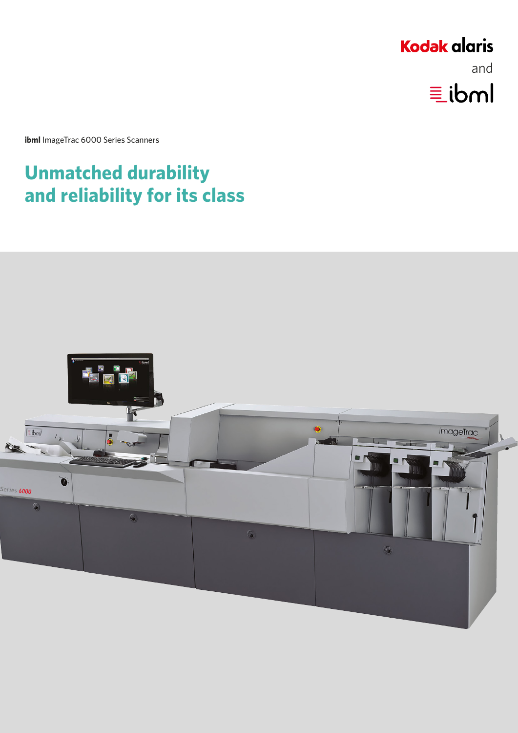# **Kodak alaris** and $\equiv$ ibml

**ibml** ImageTrac 6000 Series Scanners

# **Unmatched durability and reliability for its class**

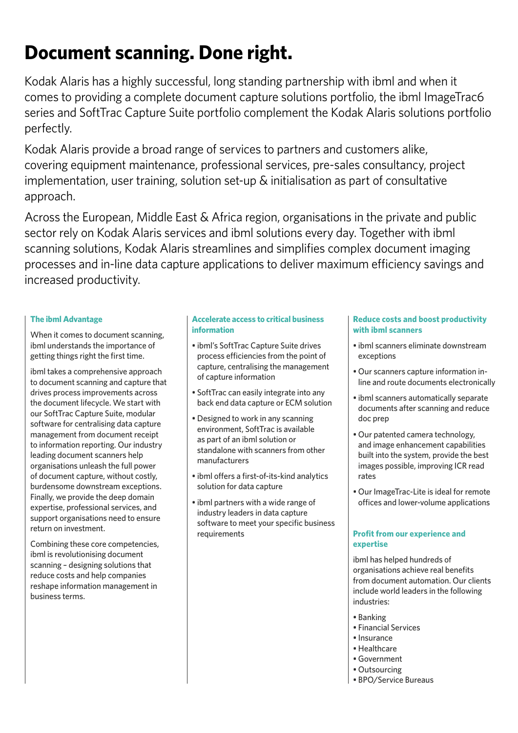# **Document scanning. Done right.**

Kodak Alaris has a highly successful, long standing partnership with ibml and when it comes to providing a complete document capture solutions portfolio, the ibml ImageTrac6 series and SoftTrac Capture Suite portfolio complement the Kodak Alaris solutions portfolio perfectly.

Kodak Alaris provide a broad range of services to partners and customers alike, covering equipment maintenance, professional services, pre-sales consultancy, project implementation, user training, solution set-up & initialisation as part of consultative approach.

Across the European, Middle East & Africa region, organisations in the private and public sector rely on Kodak Alaris services and ibml solutions every day. Together with ibml scanning solutions, Kodak Alaris streamlines and simplifies complex document imaging processes and in-line data capture applications to deliver maximum efficiency savings and increased productivity.

## **The ibml Advantage**

When it comes to document scanning, ibml understands the importance of getting things right the first time.

ibml takes a comprehensive approach to document scanning and capture that drives process improvements across the document lifecycle. We start with our SoftTrac Capture Suite, modular software for centralising data capture management from document receipt to information reporting. Our industry leading document scanners help organisations unleash the full power of document capture, without costly, burdensome downstream exceptions. Finally, we provide the deep domain expertise, professional services, and support organisations need to ensure return on investment.

Combining these core competencies, ibml is revolutionising document scanning – designing solutions that reduce costs and help companies reshape information management in business terms.

## **Accelerate access to critical business information**

- ibml's SoftTrac Capture Suite drives process efficiencies from the point of capture, centralising the management of capture information
- SoftTrac can easily integrate into any back end data capture or ECM solution
- Designed to work in any scanning environment, SoftTrac is available as part of an ibml solution or standalone with scanners from other manufacturers
- ibml offers a first-of-its-kind analytics solution for data capture
- ibml partners with a wide range of industry leaders in data capture software to meet your specific business requirements

## **Reduce costs and boost productivity with ibml scanners**

- ibml scanners eliminate downstream exceptions
- Our scanners capture information inline and route documents electronically
- ibml scanners automatically separate documents after scanning and reduce doc prep
- Our patented camera technology, and image enhancement capabilities built into the system, provide the best images possible, improving ICR read rates
- Our ImageTrac-Lite is ideal for remote offices and lower-volume applications

## **Profit from our experience and expertise**

ibml has helped hundreds of organisations achieve real benefits from document automation. Our clients include world leaders in the following industries:

- Banking
- Financial Services
- Insurance
- Healthcare
- Government
- Outsourcing
- BPO/Service Bureaus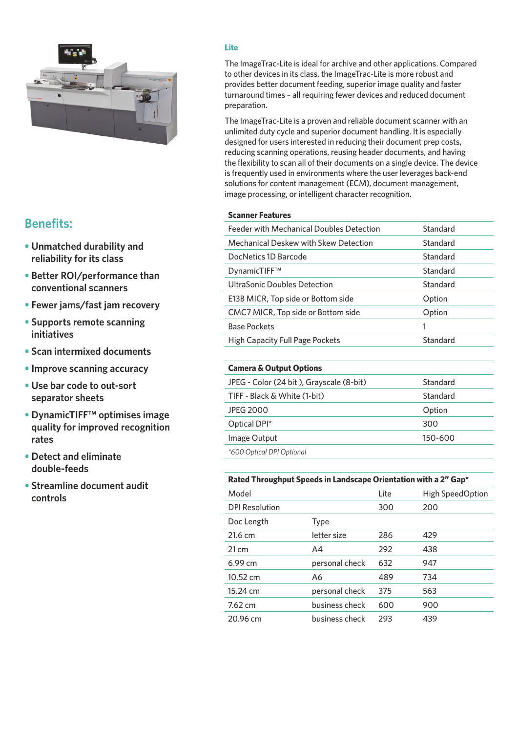

# **Benefits:**

- **• Unmatched durability and reliability for its class**
- **• Better ROI/performance than conventional scanners**
- **• Fewer jams/fast jam recovery**
- **• Supports remote scanning initiatives**
- **• Scan intermixed documents**
- **• Improve scanning accuracy**
- **• Use bar code to out-sort separator sheets**
- **• DynamicTIFF™ optimises image quality for improved recognition rates**
- **• Detect and eliminate double-feeds**
- **• Streamline document audit controls**

## **Lite**

The ImageTrac-Lite is ideal for archive and other applications. Compared to other devices in its class, the ImageTrac-Lite is more robust and provides better document feeding, superior image quality and faster turnaround times – all requiring fewer devices and reduced document preparation.

The ImageTrac-Lite is a proven and reliable document scanner with an unlimited duty cycle and superior document handling. It is especially designed for users interested in reducing their document prep costs, reducing scanning operations, reusing header documents, and having the flexibility to scan all of their documents on a single device. The device is frequently used in environments where the user leverages back-end solutions for content management (ECM), document management, image processing, or intelligent character recognition.

### **Scanner Features**

| Feeder with Mechanical Doubles Detection     | Standard |
|----------------------------------------------|----------|
| <b>Mechanical Deskew with Skew Detection</b> | Standard |
| DocNetics 1D Barcode                         | Standard |
| DynamicTIFF™                                 | Standard |
| UltraSonic Doubles Detection                 | Standard |
| E13B MICR, Top side or Bottom side           | Option   |
| CMC7 MICR, Top side or Bottom side           | Option   |
| <b>Base Pockets</b>                          | 1        |
| <b>High Capacity Full Page Pockets</b>       | Standard |

### **Camera & Output Options**

| JPEG - Color (24 bit), Grayscale (8-bit) | Standard |
|------------------------------------------|----------|
| TIFF - Black & White (1-bit)             | Standard |
| <b>JPEG 2000</b>                         | Option   |
| Optical DPI*                             | 300      |
| Image Output                             | 150-600  |
| *600 Optical DPI Optional                |          |

#### **Rated Throughput Speeds in Landscape Orientation with a 2" Gap\***

| Model                 |                | Lite | High SpeedOption |
|-----------------------|----------------|------|------------------|
| <b>DPI Resolution</b> |                | 300  | 200              |
| Doc Length            | <b>Type</b>    |      |                  |
| 21.6 cm               | letter size    | 286  | 429              |
| $21 \text{ cm}$       | A4             | 292  | 438              |
| 6.99 cm               | personal check | 632  | 947              |
| 10.52 cm              | A6             | 489  | 734              |
| 15.24 cm              | personal check | 375  | 563              |
| $7.62 \text{ cm}$     | business check | 600  | 900              |
| 20.96 cm              | business check | 293  | 439              |
|                       |                |      |                  |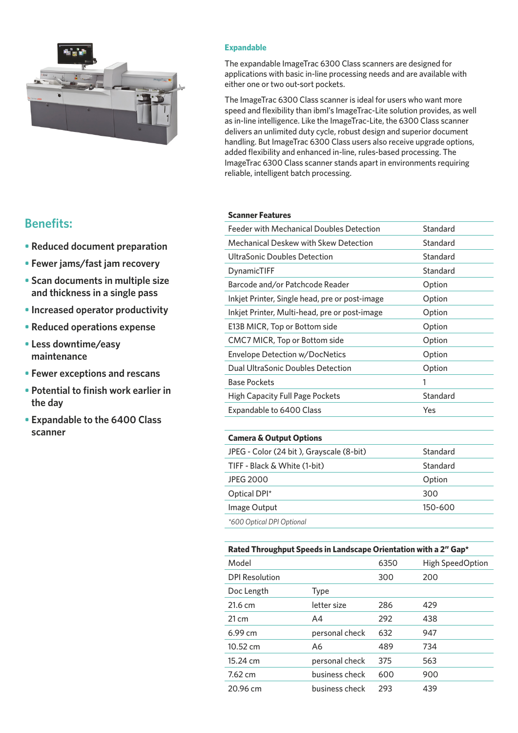

#### **Expandable**

The expandable ImageTrac 6300 Class scanners are designed for applications with basic in-line processing needs and are available with either one or two out-sort pockets.

The ImageTrac 6300 Class scanner is ideal for users who want more speed and flexibility than ibml's ImageTrac-Lite solution provides, as well as in-line intelligence. Like the ImageTrac-Lite, the 6300 Class scanner delivers an unlimited duty cycle, robust design and superior document handling. But ImageTrac 6300 Class users also receive upgrade options, added flexibility and enhanced in-line, rules-based processing. The ImageTrac 6300 Class scanner stands apart in environments requiring reliable, intelligent batch processing.

#### **Scanner Features**

| Feeder with Mechanical Doubles Detection       | Standard |
|------------------------------------------------|----------|
| <b>Mechanical Deskew with Skew Detection</b>   | Standard |
| UltraSonic Doubles Detection                   | Standard |
| DynamicTIFF                                    | Standard |
| Barcode and/or Patchcode Reader                | Option   |
| Inkjet Printer, Single head, pre or post-image | Option   |
| Inkjet Printer, Multi-head, pre or post-image  | Option   |
| E13B MICR, Top or Bottom side                  | Option   |
| CMC7 MICR, Top or Bottom side                  | Option   |
| Envelope Detection w/DocNetics                 | Option   |
| Dual UltraSonic Doubles Detection              | Option   |
| <b>Base Pockets</b>                            | 1        |
| High Capacity Full Page Pockets                | Standard |
| Expandable to 6400 Class                       | Yes      |
|                                                |          |

#### **Camera & Output Options**

| JPEG - Color (24 bit), Grayscale (8-bit) | Standard |
|------------------------------------------|----------|
| TIFF - Black & White (1-bit)             | Standard |
| <b>JPEG 2000</b>                         | Option   |
| Optical DPI*                             | 300      |
| Image Output                             | 150-600  |
| *600 Optical DPI Optional                |          |

#### **Rated Throughput Speeds in Landscape Orientation with a 2" Gap\***

| Model                 |                | 6350 | <b>High SpeedOption</b> |
|-----------------------|----------------|------|-------------------------|
| <b>DPI Resolution</b> |                | 300  | 200                     |
| Doc Length            | <b>Type</b>    |      |                         |
| $21.6 \text{ cm}$     | letter size    | 286  | 429                     |
| $21 \text{ cm}$       | A4             | 292  | 438                     |
| 6.99cm                | personal check | 632  | 947                     |
| 10.52 cm              | A6             | 489  | 734                     |
| 15.24 cm              | personal check | 375  | 563                     |
| $7.62 \text{ cm}$     | business check | 600  | 900                     |
| 20.96 cm              | business check | 293  | 439                     |
|                       |                |      |                         |

## **Benefits:**

- **• Reduced document preparation**
- **• Fewer jams/fast jam recovery**
- **• Scan documents in multiple size and thickness in a single pass**
- **• Increased operator productivity**
- **• Reduced operations expense**
- **• Less downtime/easy maintenance**
- **• Fewer exceptions and rescans**
- **• Potential to finish work earlier in the day**
- **• Expandable to the 6400 Class scanner**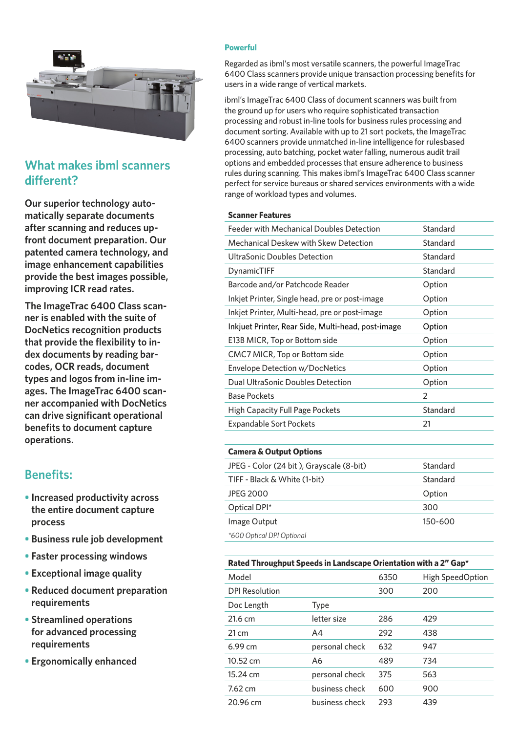

# **What makes ibml scanners different?**

**Our superior technology automatically separate documents after scanning and reduces upfront document preparation. Our patented camera technology, and image enhancement capabilities provide the best images possible, improving ICR read rates.**

**The ImageTrac 6400 Class scanner is enabled with the suite of DocNetics recognition products that provide the flexibility to index documents by reading barcodes, OCR reads, document types and logos from in-line images. The ImageTrac 6400 scanner accompanied with DocNetics can drive significant operational benefits to document capture operations.**

# **Benefits:**

- **• Increased productivity across the entire document capture process**
- **• Business rule job development**
- **• Faster processing windows**
- **• Exceptional image quality**
- **• Reduced document preparation requirements**
- **• Streamlined operations for advanced processing requirements**
- **• Ergonomically enhanced**

#### **Powerful**

Regarded as ibml's most versatile scanners, the powerful ImageTrac 6400 Class scanners provide unique transaction processing benefits for users in a wide range of vertical markets.

ibml's ImageTrac 6400 Class of document scanners was built from the ground up for users who require sophisticated transaction processing and robust in-line tools for business rules processing and document sorting. Available with up to 21 sort pockets, the ImageTrac 6400 scanners provide unmatched in-line intelligence for rulesbased processing, auto batching, pocket water falling, numerous audit trail options and embedded processes that ensure adherence to business rules during scanning. This makes ibml's ImageTrac 6400 Class scanner perfect for service bureaus or shared services environments with a wide range of workload types and volumes.

#### **Scanner Features**

| Feeder with Mechanical Doubles Detection           | Standard       |
|----------------------------------------------------|----------------|
| Mechanical Deskew with Skew Detection              | Standard       |
| UltraSonic Doubles Detection                       | Standard       |
| DynamicTIFF                                        | Standard       |
| Barcode and/or Patchcode Reader                    | Option         |
| Inkjet Printer, Single head, pre or post-image     | Option         |
| Inkjet Printer, Multi-head, pre or post-image      | Option         |
| Inkjuet Printer, Rear Side, Multi-head, post-image | Option         |
| E13B MICR, Top or Bottom side                      | Option         |
| CMC7 MICR, Top or Bottom side                      | Option         |
| Envelope Detection w/DocNetics                     | Option         |
| Dual UltraSonic Doubles Detection                  | Option         |
| <b>Base Pockets</b>                                | $\overline{2}$ |
| High Capacity Full Page Pockets                    | Standard       |
| Expandable Sort Pockets                            | 21             |
|                                                    |                |

### **Camera & Output Options**

| JPEG - Color (24 bit), Grayscale (8-bit) | Standard |
|------------------------------------------|----------|
| TIFF - Black & White (1-bit)             | Standard |
| <b>JPEG 2000</b>                         | Option   |
| Optical DPI*                             | 300      |
| Image Output                             | 150-600  |
| *600 Optical DPI Optional                |          |

| Rated Throughput Speeds in Landscape Orientation with a 2" Gap* |                |      |                  |  |
|-----------------------------------------------------------------|----------------|------|------------------|--|
| Model                                                           |                | 6350 | High SpeedOption |  |
| <b>DPI Resolution</b>                                           |                | 300  | 200              |  |
| Doc Length                                                      | <b>Type</b>    |      |                  |  |
| $21.6 \text{ cm}$                                               | letter size    | 286  | 429              |  |
| $21 \text{ cm}$                                                 | A4             | 292  | 438              |  |
| 6.99cm                                                          | personal check | 632  | 947              |  |
| $10.52 \text{ cm}$                                              | A6             | 489  | 734              |  |
| $15.24 \text{ cm}$                                              | personal check | 375  | 563              |  |
| $7.62 \text{ cm}$                                               | business check | 600  | 900              |  |
| 20.96 cm                                                        | business check | 293  | 439              |  |